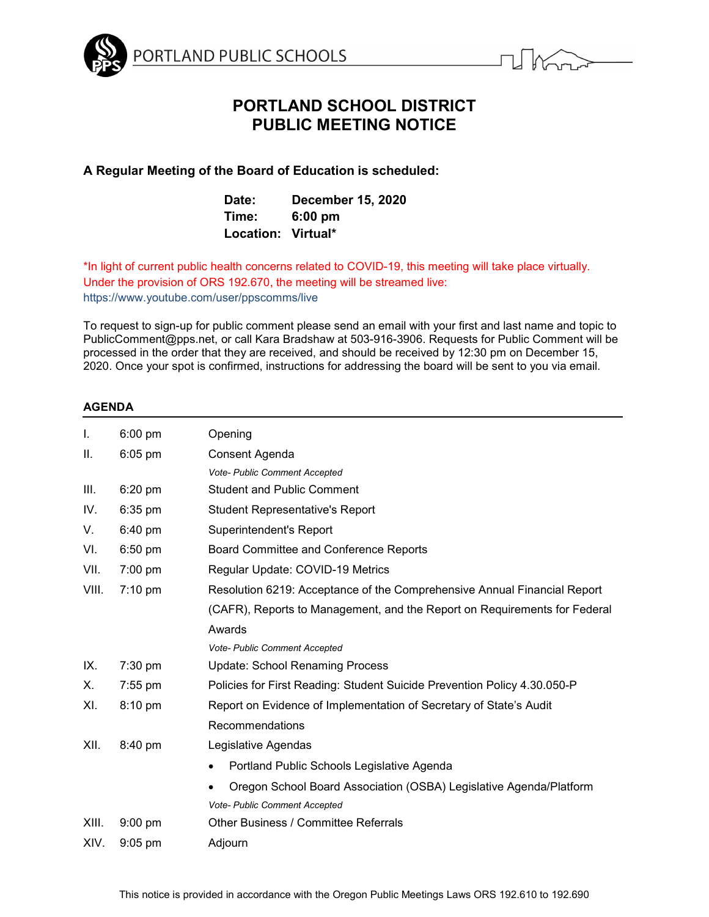



# **PORTLAND SCHOOL DISTRICT PUBLIC MEETING NOTICE**

**A Regular Meeting of the Board of Education is scheduled:**

| Date:              | <b>December 15, 2020</b> |
|--------------------|--------------------------|
| Time:              | $6:00$ pm                |
| Location: Virtual* |                          |

\*In light of current public health concerns related to COVID-19, this meeting will take place virtually. Under the provision of ORS 192.670, the meeting will be streamed live: https://www.youtube.com/user/ppscomms/live

To request to sign-up for public comment please send an email with your first and last name and topic to PublicComment@pps.net, or call Kara Bradshaw at 503-916-3906. Requests for Public Comment will be processed in the order that they are received, and should be received by 12:30 pm on December 15, 2020. Once your spot is confirmed, instructions for addressing the board will be sent to you via email.

# **AGENDA**

| Ι.    | $6:00$ pm | Opening                                                                   |
|-------|-----------|---------------------------------------------------------------------------|
| ΙΙ.   | $6:05$ pm | Consent Agenda                                                            |
|       |           | Vote- Public Comment Accepted                                             |
| Ш.    | $6:20$ pm | <b>Student and Public Comment</b>                                         |
| IV.   | 6:35 pm   | <b>Student Representative's Report</b>                                    |
| V.    | 6:40 pm   | Superintendent's Report                                                   |
| VI.   | 6:50 pm   | Board Committee and Conference Reports                                    |
| VII.  | 7:00 pm   | Regular Update: COVID-19 Metrics                                          |
| VIII. | $7:10$ pm | Resolution 6219: Acceptance of the Comprehensive Annual Financial Report  |
|       |           | (CAFR), Reports to Management, and the Report on Requirements for Federal |
|       |           | Awards                                                                    |
|       |           | Vote- Public Comment Accepted                                             |
| IX.   | 7:30 pm   | <b>Update: School Renaming Process</b>                                    |
| Х.    | 7:55 pm   | Policies for First Reading: Student Suicide Prevention Policy 4.30.050-P  |
| XI.   | 8:10 pm   | Report on Evidence of Implementation of Secretary of State's Audit        |
|       |           | Recommendations                                                           |
| XII.  | 8:40 pm   | Legislative Agendas                                                       |
|       |           | Portland Public Schools Legislative Agenda<br>٠                           |
|       |           | Oregon School Board Association (OSBA) Legislative Agenda/Platform        |
|       |           | <b>Vote- Public Comment Accepted</b>                                      |
| XIII. | $9:00$ pm | Other Business / Committee Referrals                                      |
| XIV.  | $9:05$ pm | Adjourn                                                                   |